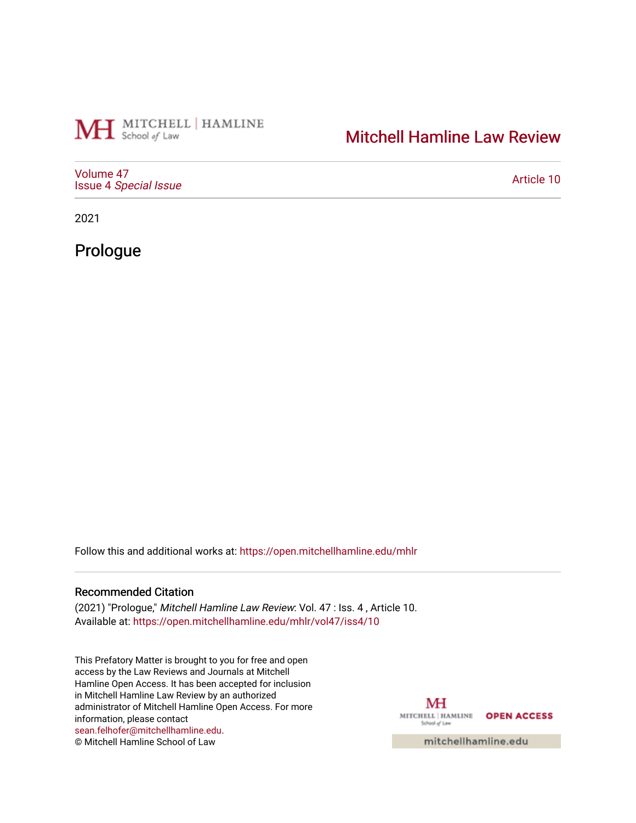## MH School of Law | HAMLINE

## [Mitchell Hamline Law Review](https://open.mitchellhamline.edu/mhlr)

[Volume 47](https://open.mitchellhamline.edu/mhlr/vol47) Issue 4 [Special Issue](https://open.mitchellhamline.edu/mhlr/vol47/iss4)

[Article 10](https://open.mitchellhamline.edu/mhlr/vol47/iss4/10) 

2021

Prologue

Follow this and additional works at: [https://open.mitchellhamline.edu/mhlr](https://open.mitchellhamline.edu/mhlr?utm_source=open.mitchellhamline.edu%2Fmhlr%2Fvol47%2Fiss4%2F10&utm_medium=PDF&utm_campaign=PDFCoverPages) 

## Recommended Citation

(2021) "Prologue," Mitchell Hamline Law Review: Vol. 47 : Iss. 4 , Article 10. Available at: [https://open.mitchellhamline.edu/mhlr/vol47/iss4/10](https://open.mitchellhamline.edu/mhlr/vol47/iss4/10?utm_source=open.mitchellhamline.edu%2Fmhlr%2Fvol47%2Fiss4%2F10&utm_medium=PDF&utm_campaign=PDFCoverPages)

This Prefatory Matter is brought to you for free and open access by the Law Reviews and Journals at Mitchell Hamline Open Access. It has been accepted for inclusion in Mitchell Hamline Law Review by an authorized administrator of Mitchell Hamline Open Access. For more information, please contact [sean.felhofer@mitchellhamline.edu](mailto:sean.felhofer@mitchellhamline.edu). © Mitchell Hamline School of Law

МH MITCHELL | HAMLINE OPEN ACCESS School of Law

mitchellhamline.edu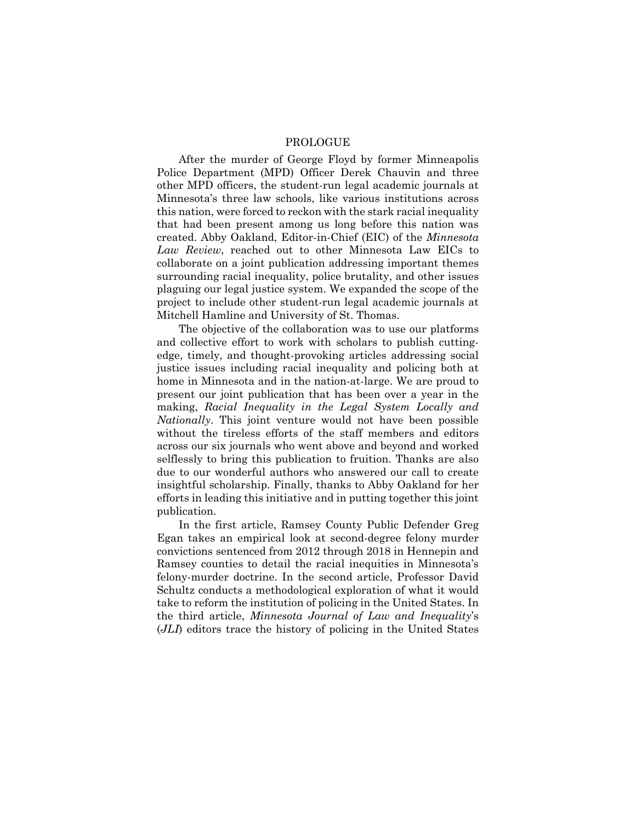## PROLOGUE

After the murder of George Floyd by former Minneapolis Police Department (MPD) Officer Derek Chauvin and three other MPD officers, the student-run legal academic journals at Minnesota's three law schools, like various institutions across this nation, were forced to reckon with the stark racial inequality that had been present among us long before this nation was created. Abby Oakland, Editor-in-Chief (EIC) of the *Minnesota Law Review*, reached out to other Minnesota Law EICs to collaborate on a joint publication addressing important themes surrounding racial inequality, police brutality, and other issues plaguing our legal justice system. We expanded the scope of the project to include other student-run legal academic journals at Mitchell Hamline and University of St. Thomas.

The objective of the collaboration was to use our platforms and collective effort to work with scholars to publish cuttingedge, timely, and thought-provoking articles addressing social justice issues including racial inequality and policing both at home in Minnesota and in the nation-at-large. We are proud to present our joint publication that has been over a year in the making, *Racial Inequality in the Legal System Locally and Nationally*. This joint venture would not have been possible without the tireless efforts of the staff members and editors across our six journals who went above and beyond and worked selflessly to bring this publication to fruition. Thanks are also due to our wonderful authors who answered our call to create insightful scholarship. Finally, thanks to Abby Oakland for her efforts in leading this initiative and in putting together this joint publication.

In the first article, Ramsey County Public Defender Greg Egan takes an empirical look at second-degree felony murder convictions sentenced from 2012 through 2018 in Hennepin and Ramsey counties to detail the racial inequities in Minnesota's felony-murder doctrine. In the second article, Professor David Schultz conducts a methodological exploration of what it would take to reform the institution of policing in the United States. In the third article, *Minnesota Journal of Law and Inequality*'s (*JLI*) editors trace the history of policing in the United States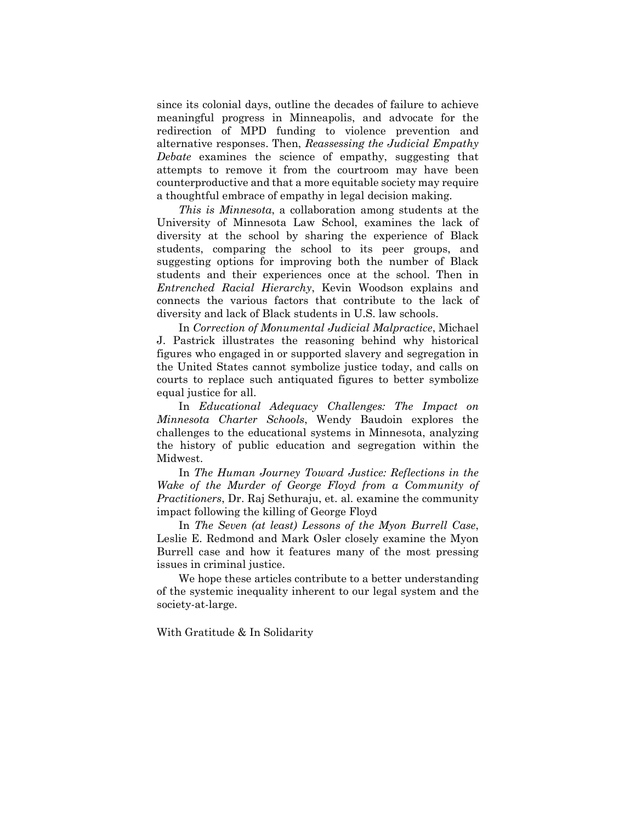since its colonial days, outline the decades of failure to achieve meaningful progress in Minneapolis, and advocate for the redirection of MPD funding to violence prevention and alternative responses. Then, *Reassessing the Judicial Empathy Debate* examines the science of empathy, suggesting that attempts to remove it from the courtroom may have been counterproductive and that a more equitable society may require a thoughtful embrace of empathy in legal decision making.

*This is Minnesota*, a collaboration among students at the University of Minnesota Law School, examines the lack of diversity at the school by sharing the experience of Black students, comparing the school to its peer groups, and suggesting options for improving both the number of Black students and their experiences once at the school. Then in *Entrenched Racial Hierarchy*, Kevin Woodson explains and connects the various factors that contribute to the lack of diversity and lack of Black students in U.S. law schools.

In *Correction of Monumental Judicial Malpractice*, Michael J. Pastrick illustrates the reasoning behind why historical figures who engaged in or supported slavery and segregation in the United States cannot symbolize justice today, and calls on courts to replace such antiquated figures to better symbolize equal justice for all.

In *Educational Adequacy Challenges: The Impact on Minnesota Charter Schools*, Wendy Baudoin explores the challenges to the educational systems in Minnesota, analyzing the history of public education and segregation within the Midwest.

In *The Human Journey Toward Justice: Reflections in the Wake of the Murder of George Floyd from a Community of Practitioners*, Dr. Raj Sethuraju, et. al. examine the community impact following the killing of George Floyd

In *The Seven (at least) Lessons of the Myon Burrell Case*, Leslie E. Redmond and Mark Osler closely examine the Myon Burrell case and how it features many of the most pressing issues in criminal justice.

We hope these articles contribute to a better understanding of the systemic inequality inherent to our legal system and the society-at-large.

With Gratitude & In Solidarity